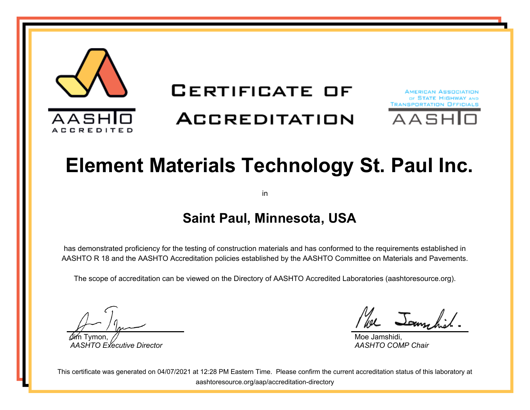

## **CERTIFICATE OF**

# **ACCREDITATION**



# **Element Materials Technology St. Paul Inc.**

in

#### **Saint Paul, Minnesota, USA**

has demonstrated proficiency for the testing of construction materials and has conformed to the requirements established in AASHTO R 18 and the AASHTO Accreditation policies established by the AASHTO Committee on Materials and Pavements.

The scope of accreditation can be viewed on the Directory of AASHTO Accredited Laboratories (aashtoresource.org).

Jim Tymon, *AASHTO Executive Director*

We Jammhil

Moe Jamshidi, *AASHTO COMP Chair*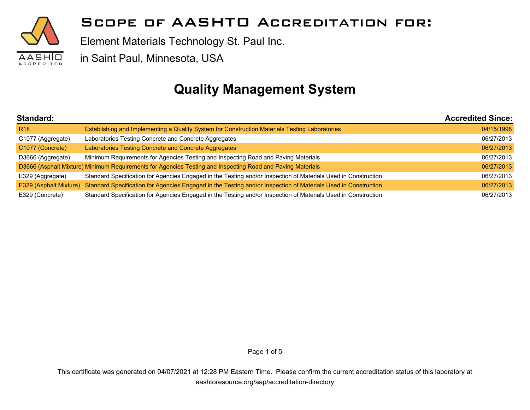

Element Materials Technology St. Paul Inc.

in Saint Paul, Minnesota, USA

#### **Quality Management System**

| Standard:              |                                                                                                                | <b>Accredited Since:</b> |
|------------------------|----------------------------------------------------------------------------------------------------------------|--------------------------|
| R <sub>18</sub>        | Establishing and Implementing a Quality System for Construction Materials Testing Laboratories                 | 04/15/1998               |
| C1077 (Aggregate)      | Laboratories Testing Concrete and Concrete Aggregates                                                          | 06/27/2013               |
| C1077 (Concrete)       | Laboratories Testing Concrete and Concrete Aggregates                                                          | 06/27/2013               |
| D3666 (Aggregate)      | Minimum Requirements for Agencies Testing and Inspecting Road and Paving Materials                             | 06/27/2013               |
|                        | D3666 (Asphalt Mixture) Minimum Requirements for Agencies Testing and Inspecting Road and Paving Materials     | 06/27/2013               |
| E329 (Aggregate)       | Standard Specification for Agencies Engaged in the Testing and/or Inspection of Materials Used in Construction | 06/27/2013               |
| E329 (Asphalt Mixture) | Standard Specification for Agencies Engaged in the Testing and/or Inspection of Materials Used in Construction | 06/27/2013               |
| E329 (Concrete)        | Standard Specification for Agencies Engaged in the Testing and/or Inspection of Materials Used in Construction | 06/27/2013               |

Page 1 of 5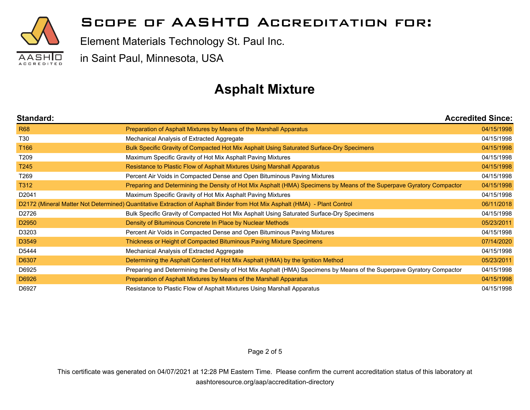

Element Materials Technology St. Paul Inc.

in Saint Paul, Minnesota, USA

#### **Asphalt Mixture**

| Standard:         |                                                                                                                            | <b>Accredited Since:</b> |
|-------------------|----------------------------------------------------------------------------------------------------------------------------|--------------------------|
| <b>R68</b>        | Preparation of Asphalt Mixtures by Means of the Marshall Apparatus                                                         | 04/15/1998               |
| T30               | Mechanical Analysis of Extracted Aggregate                                                                                 | 04/15/1998               |
| T <sub>166</sub>  | Bulk Specific Gravity of Compacted Hot Mix Asphalt Using Saturated Surface-Dry Specimens                                   | 04/15/1998               |
| T209              | Maximum Specific Gravity of Hot Mix Asphalt Paving Mixtures                                                                | 04/15/1998               |
| T <sub>245</sub>  | Resistance to Plastic Flow of Asphalt Mixtures Using Marshall Apparatus                                                    | 04/15/1998               |
| T269              | Percent Air Voids in Compacted Dense and Open Bituminous Paving Mixtures                                                   | 04/15/1998               |
| T312              | Preparing and Determining the Density of Hot Mix Asphalt (HMA) Specimens by Means of the Superpave Gyratory Compactor      | 04/15/1998               |
| D <sub>2041</sub> | Maximum Specific Gravity of Hot Mix Asphalt Paving Mixtures                                                                | 04/15/1998               |
|                   | D2172 (Mineral Matter Not Determined) Quantitative Extraction of Asphalt Binder from Hot Mix Asphalt (HMA) - Plant Control | 06/11/2018               |
| D2726             | Bulk Specific Gravity of Compacted Hot Mix Asphalt Using Saturated Surface-Dry Specimens                                   | 04/15/1998               |
| D <sub>2950</sub> | Density of Bituminous Concrete In Place by Nuclear Methods                                                                 | 05/23/2011               |
| D3203             | Percent Air Voids in Compacted Dense and Open Bituminous Paving Mixtures                                                   | 04/15/1998               |
| D3549             | Thickness or Height of Compacted Bituminous Paving Mixture Specimens                                                       | 07/14/2020               |
| D5444             | Mechanical Analysis of Extracted Aggregate                                                                                 | 04/15/1998               |
| D6307             | Determining the Asphalt Content of Hot Mix Asphalt (HMA) by the Ignition Method                                            | 05/23/2011               |
| D6925             | Preparing and Determining the Density of Hot Mix Asphalt (HMA) Specimens by Means of the Superpave Gyratory Compactor      | 04/15/1998               |
| D6926             | Preparation of Asphalt Mixtures by Means of the Marshall Apparatus                                                         | 04/15/1998               |
| D6927             | Resistance to Plastic Flow of Asphalt Mixtures Using Marshall Apparatus                                                    | 04/15/1998               |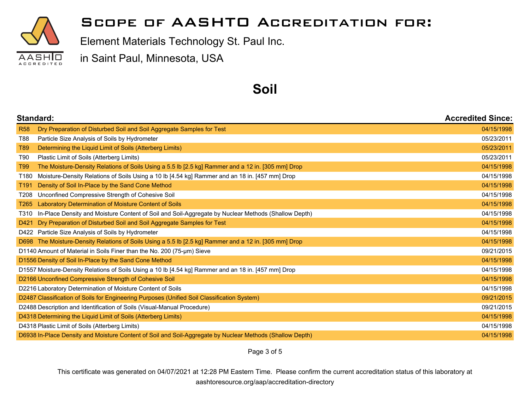

Element Materials Technology St. Paul Inc.

in Saint Paul, Minnesota, USA

#### **Soil**

|                                                               | <b>Standard:</b>                                                                                          |            |
|---------------------------------------------------------------|-----------------------------------------------------------------------------------------------------------|------------|
| <b>R58</b>                                                    | Dry Preparation of Disturbed Soil and Soil Aggregate Samples for Test                                     | 04/15/1998 |
| T88                                                           | Particle Size Analysis of Soils by Hydrometer                                                             | 05/23/2011 |
| T89                                                           | Determining the Liquid Limit of Soils (Atterberg Limits)                                                  | 05/23/2011 |
| T90                                                           | Plastic Limit of Soils (Atterberg Limits)                                                                 | 05/23/2011 |
| T99                                                           | The Moisture-Density Relations of Soils Using a 5.5 lb [2.5 kg] Rammer and a 12 in. [305 mm] Drop         | 04/15/1998 |
| T180                                                          | Moisture-Density Relations of Soils Using a 10 lb [4.54 kg] Rammer and an 18 in. [457 mm] Drop            | 04/15/1998 |
| T191                                                          | Density of Soil In-Place by the Sand Cone Method                                                          | 04/15/1998 |
| T208                                                          | Unconfined Compressive Strength of Cohesive Soil                                                          | 04/15/1998 |
| T265                                                          | Laboratory Determination of Moisture Content of Soils                                                     | 04/15/1998 |
| T310                                                          | In-Place Density and Moisture Content of Soil and Soil-Aggregate by Nuclear Methods (Shallow Depth)       | 04/15/1998 |
| D421                                                          | Dry Preparation of Disturbed Soil and Soil Aggregate Samples for Test                                     | 04/15/1998 |
|                                                               | D422 Particle Size Analysis of Soils by Hydrometer                                                        | 04/15/1998 |
|                                                               | D698 The Moisture-Density Relations of Soils Using a 5.5 lb [2.5 kg] Rammer and a 12 in. [305 mm] Drop    | 04/15/1998 |
|                                                               | D1140 Amount of Material in Soils Finer than the No. 200 (75-µm) Sieve                                    | 09/21/2015 |
|                                                               | D1556 Density of Soil In-Place by the Sand Cone Method                                                    | 04/15/1998 |
|                                                               | D1557 Moisture-Density Relations of Soils Using a 10 lb [4.54 kg] Rammer and an 18 in. [457 mm] Drop      | 04/15/1998 |
|                                                               | D2166 Unconfined Compressive Strength of Cohesive Soil                                                    | 04/15/1998 |
|                                                               | D2216 Laboratory Determination of Moisture Content of Soils                                               | 04/15/1998 |
|                                                               | D2487 Classification of Soils for Engineering Purposes (Unified Soil Classification System)               | 09/21/2015 |
|                                                               | D2488 Description and Identification of Soils (Visual-Manual Procedure)                                   | 09/21/2015 |
|                                                               | D4318 Determining the Liquid Limit of Soils (Atterberg Limits)                                            | 04/15/1998 |
| D4318 Plastic Limit of Soils (Atterberg Limits)<br>04/15/1998 |                                                                                                           |            |
|                                                               | D6938 In-Place Density and Moisture Content of Soil and Soil-Aggregate by Nuclear Methods (Shallow Depth) | 04/15/1998 |

Page 3 of 5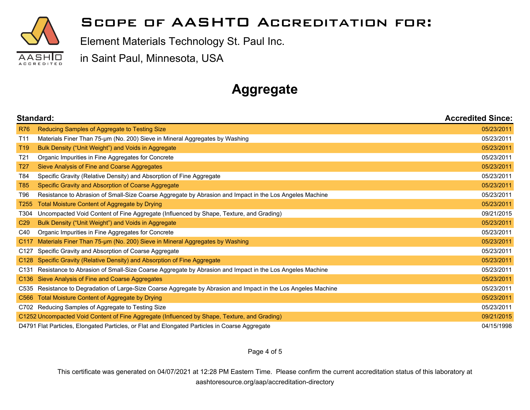

Element Materials Technology St. Paul Inc.

in Saint Paul, Minnesota, USA

### **Aggregate**

|                  | Standard:                                                                                                  |            |
|------------------|------------------------------------------------------------------------------------------------------------|------------|
| <b>R76</b>       | Reducing Samples of Aggregate to Testing Size                                                              | 05/23/2011 |
| T <sub>11</sub>  | Materials Finer Than 75-um (No. 200) Sieve in Mineral Aggregates by Washing                                | 05/23/2011 |
| T <sub>19</sub>  | Bulk Density ("Unit Weight") and Voids in Aggregate                                                        | 05/23/2011 |
| T <sub>21</sub>  | Organic Impurities in Fine Aggregates for Concrete                                                         | 05/23/2011 |
| T <sub>27</sub>  | Sieve Analysis of Fine and Coarse Aggregates                                                               | 05/23/2011 |
| T84              | Specific Gravity (Relative Density) and Absorption of Fine Aggregate                                       | 05/23/2011 |
| <b>T85</b>       | Specific Gravity and Absorption of Coarse Aggregate                                                        | 05/23/2011 |
| T96              | Resistance to Abrasion of Small-Size Coarse Aggregate by Abrasion and Impact in the Los Angeles Machine    | 05/23/2011 |
| T <sub>255</sub> | <b>Total Moisture Content of Aggregate by Drying</b>                                                       | 05/23/2011 |
| T304             | Uncompacted Void Content of Fine Aggregate (Influenced by Shape, Texture, and Grading)                     | 09/21/2015 |
| C <sub>29</sub>  | Bulk Density ("Unit Weight") and Voids in Aggregate                                                        | 05/23/2011 |
| C40              | Organic Impurities in Fine Aggregates for Concrete                                                         | 05/23/2011 |
| C117             | Materials Finer Than 75-um (No. 200) Sieve in Mineral Aggregates by Washing                                | 05/23/2011 |
| C127             | Specific Gravity and Absorption of Coarse Aggregate                                                        | 05/23/2011 |
| C <sub>128</sub> | Specific Gravity (Relative Density) and Absorption of Fine Aggregate                                       | 05/23/2011 |
| C131             | Resistance to Abrasion of Small-Size Coarse Aggregate by Abrasion and Impact in the Los Angeles Machine    | 05/23/2011 |
|                  | C136 Sieve Analysis of Fine and Coarse Aggregates                                                          | 05/23/2011 |
| C535             | Resistance to Degradation of Large-Size Coarse Aggregate by Abrasion and Impact in the Los Angeles Machine | 05/23/2011 |
| C <sub>566</sub> | <b>Total Moisture Content of Aggregate by Drying</b>                                                       | 05/23/2011 |
|                  | C702 Reducing Samples of Aggregate to Testing Size                                                         | 05/23/2011 |
|                  | C1252 Uncompacted Void Content of Fine Aggregate (Influenced by Shape, Texture, and Grading)               | 09/21/2015 |
|                  | D4791 Flat Particles, Elongated Particles, or Flat and Elongated Particles in Coarse Aggregate             | 04/15/1998 |

Page 4 of 5